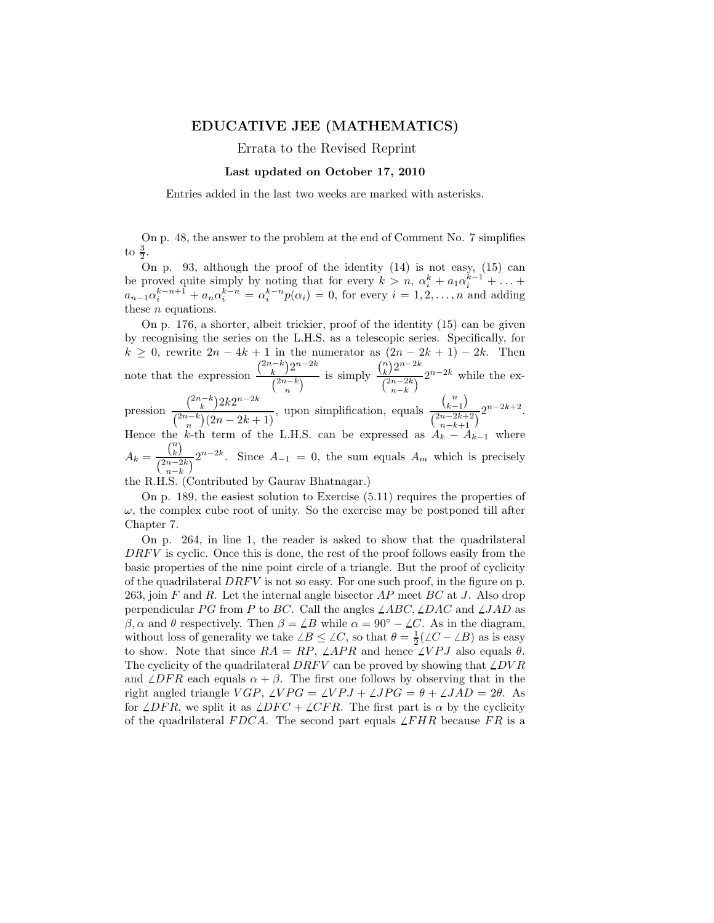## EDUCATIVE JEE (MATHEMATICS)

Errata to the Revised Reprint

## Last updated on October 17, 2010

Entries added in the last two weeks are marked with asterisks.

On p. 48, the answer to the problem at the end of Comment No. 7 simplifies to  $\frac{3}{2}$ .

On p. 93, although the proof of the identity (14) is not easy, (15) can be proved quite simply by noting that for every  $k > n$ ,  $\alpha_i^k + a_1 \alpha_i^{k-1} + \ldots$  $a_{n-1}\alpha_i^{k-n+1} + a_n\alpha_i^{k-n} = \alpha_i^{k-n}p(\alpha_i) = 0$ , for every  $i = 1, 2, ..., n$  and adding these *n* equations.

On p. 176, a shorter, albeit trickier, proof of the identity (15) can be given by recognising the series on the L.H.S. as a telescopic series. Specifically, for  $k \geq 0$ , rewrite  $2n - 4k + 1$  in the numerator as  $(2n - 2k + 1) - 2k$ . Then note that the expression  $\binom{2n-k}{k} 2^{n-2k}$  $\frac{k}{\binom{2n-k}{n}}$  is simply  $\binom{n}{k} 2^{n-2k}$  $\frac{(2n-2k)}{\binom{2n-2k}{n-k}}$  while the expression  $\binom{2n-k}{k} 2k 2^{n-2k}$  $\binom{2n-k}{n}(2n-2k+1)$ , upon simplification, equals  $\binom{n}{k-1}$  $\frac{(k-1)}{\binom{2n-2k+2}{n-k+1}} 2^{n-2k+2}.$ 

Hence the k-th term of the L.H.S. can be expressed as  $A_k - A_{k-1}$  where  $A_k =$  $\binom{n}{k}$ 

 $\frac{(k)}{\binom{2n-2k}{n-k}} 2^{n-2k}$ . Since  $A_{-1} = 0$ , the sum equals  $A_m$  which is precisely

the R.H.S. (Contributed by Gaurav Bhatnagar.)

On p. 189, the easiest solution to Exercise (5.11) requires the properties of  $\omega$ , the complex cube root of unity. So the exercise may be postponed till after Chapter 7.

On p. 264, in line 1, the reader is asked to show that the quadrilateral  $DRF<sup>V</sup>$  is cyclic. Once this is done, the rest of the proof follows easily from the basic properties of the nine point circle of a triangle. But the proof of cyclicity of the quadrilateral  $DRF<sub>V</sub>$  is not so easy. For one such proof, in the figure on p. 263, join  $F$  and  $R$ . Let the internal angle bisector  $AP$  meet  $BC$  at  $J$ . Also drop perpendicular PG from P to BC. Call the angles  $\angle ABC$ ,  $\angle DAC$  and  $\angle JAD$  as β, α and θ respectively. Then  $β = ∠B$  while  $α = 90° - ∠C$ . As in the diagram, without loss of generality we take  $\angle B \leq \angle C$ , so that  $\theta = \frac{1}{2}(\angle C - \angle B)$  as is easy to show. Note that since  $RA = RP$ ,  $\angle APR$  and hence  $\angle VPJ$  also equals  $\theta$ . The cyclicity of the quadrilateral  $DRFV$  can be proved by showing that  $\angle DVR$ and  $\angle DFR$  each equals  $\alpha + \beta$ . The first one follows by observing that in the right angled triangle  $VGP$ ,  $\angle VPG = \angle VPJ + \angle JPG = \theta + \angle JAD = 2\theta$ . As for  $\angle DFR$ , we split it as  $\angle DFC + \angle CFR$ . The first part is  $\alpha$  by the cyclicity of the quadrilateral FDCA. The second part equals  $\angle FHR$  because FR is a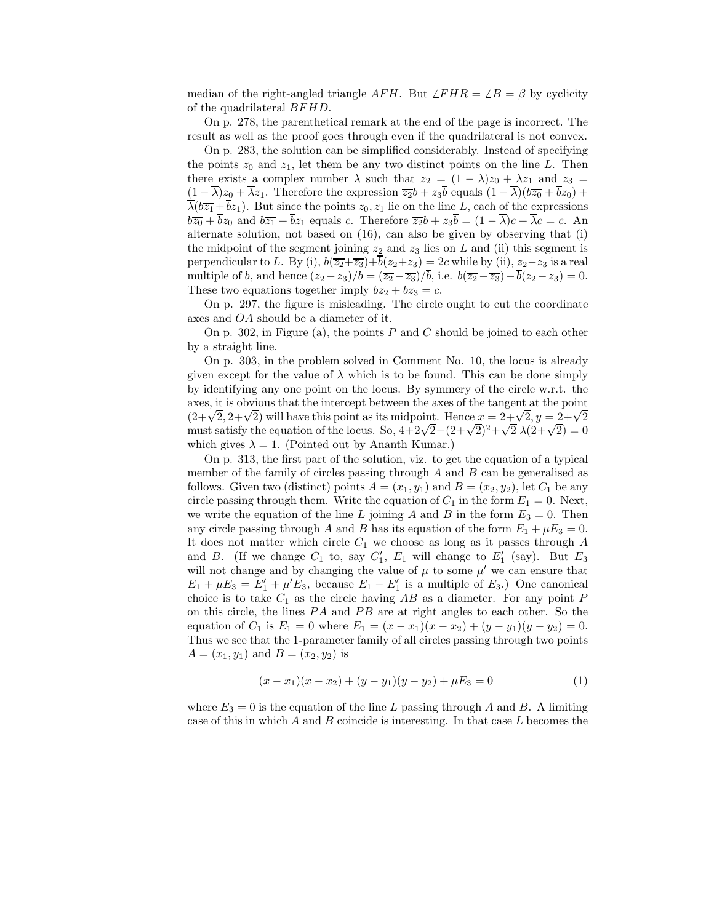median of the right-angled triangle AFH. But  $\angle FHR = \angle B = \beta$  by cyclicity of the quadrilateral BF HD.

On p. 278, the parenthetical remark at the end of the page is incorrect. The result as well as the proof goes through even if the quadrilateral is not convex.

On p. 283, the solution can be simplified considerably. Instead of specifying the points  $z_0$  and  $z_1$ , let them be any two distinct points on the line L. Then there exists a complex number  $\lambda$  such that  $z_2 = (1 - \lambda)z_0 + \lambda z_1$  and  $z_3 =$  $(1 - \overline{\lambda})z_0 + \overline{\lambda}z_1$ . Therefore the expression  $\overline{z_2b} + z_3\overline{b}$  equals  $(1 - \overline{\lambda})(b\overline{z_0} + \overline{b}z_0)$  +  $\overline{\lambda}(b\overline{z_1} + \overline{b}z_1)$ . But since the points  $z_0, z_1$  lie on the line L, each of the expressions  $b\overline{z_0} + \overline{b}z_0$  and  $b\overline{z_1} + \overline{b}z_1$  equals c. Therefore  $\overline{z_2b} + z_3\overline{b} = (1 - \overline{\lambda})c + \overline{\lambda}c = c$ . An alternate solution, not based on (16), can also be given by observing that (i) the midpoint of the segment joining  $z_2$  and  $z_3$  lies on L and (ii) this segment is perpendicular to L. By (i),  $b(\overline{z_2+z_3})+\overline{b}(z_2+z_3) = 2c$  while by (ii),  $z_2-z_3$  is a real multiple of b, and hence  $(z_2 - z_3)/b = (\overline{z_2} - \overline{z_3})/b$ , i.e.  $b(\overline{z_2} - \overline{z_3}) - b(z_2 - z_3) = 0$ . These two equations together imply  $b\overline{z_2} + bz_3 = c$ .

On p. 297, the figure is misleading. The circle ought to cut the coordinate axes and OA should be a diameter of it.

On p. 302, in Figure (a), the points  $P$  and  $C$  should be joined to each other by a straight line.

On p. 303, in the problem solved in Comment No. 10, the locus is already given except for the value of  $\lambda$  which is to be found. This can be done simply by identifying any one point on the locus. By symmery of the circle w.r.t. the axes, it is obvious that the intercept between the axes of the tangent at the point  $(2+\sqrt{2}, 2+\sqrt{2})$  will have this point as its midpoint. Hence  $x = 2+\sqrt{2}, y = 2+\sqrt{2}$ must satisfy the equation of the locus. So,  $4+2\sqrt{2}-(2+\sqrt{2})^2+\sqrt{2}\lambda(2+\sqrt{2})=0$ which gives  $\lambda = 1$ . (Pointed out by Ananth Kumar.)

On p. 313, the first part of the solution, viz. to get the equation of a typical member of the family of circles passing through  $A$  and  $B$  can be generalised as follows. Given two (distinct) points  $A = (x_1, y_1)$  and  $B = (x_2, y_2)$ , let  $C_1$  be any circle passing through them. Write the equation of  $C_1$  in the form  $E_1 = 0$ . Next, we write the equation of the line L joining A and B in the form  $E_3 = 0$ . Then any circle passing through A and B has its equation of the form  $E_1 + \mu E_3 = 0$ . It does not matter which circle  $C_1$  we choose as long as it passes through A and B. (If we change  $C_1$  to, say  $C'_1$ ,  $E_1$  will change to  $E'_1$  (say). But  $E_3$ will not change and by changing the value of  $\mu$  to some  $\mu'$  we can ensure that  $E_1 + \mu E_3 = E'_1 + \mu' E_3$ , because  $E_1 - E'_1$  is a multiple of  $E_3$ .) One canonical choice is to take  $C_1$  as the circle having AB as a diameter. For any point P on this circle, the lines  $PA$  and  $PB$  are at right angles to each other. So the equation of  $C_1$  is  $E_1 = 0$  where  $E_1 = (x - x_1)(x - x_2) + (y - y_1)(y - y_2) = 0$ . Thus we see that the 1-parameter family of all circles passing through two points  $A = (x_1, y_1)$  and  $B = (x_2, y_2)$  is

$$
(x - x1)(x - x2) + (y - y1)(y - y2) + \mu E3 = 0
$$
 (1)

where  $E_3 = 0$  is the equation of the line L passing through A and B. A limiting case of this in which  $A$  and  $B$  coincide is interesting. In that case  $L$  becomes the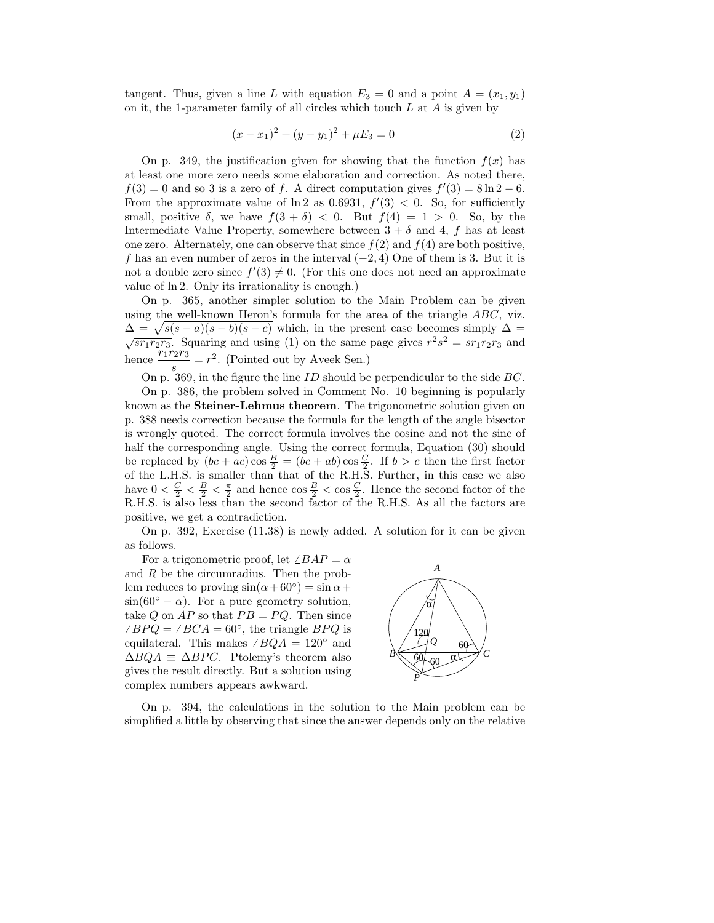tangent. Thus, given a line L with equation  $E_3 = 0$  and a point  $A = (x_1, y_1)$ on it, the 1-parameter family of all circles which touch  $L$  at  $A$  is given by

$$
(x - x1)2 + (y - y1)2 + \mu E3 = 0
$$
 (2)

On p. 349, the justification given for showing that the function  $f(x)$  has at least one more zero needs some elaboration and correction. As noted there,  $f(3) = 0$  and so 3 is a zero of f. A direct computation gives  $f'(3) = 8 \ln 2 - 6$ . From the approximate value of  $\ln 2$  as 0.6931,  $f'(3) < 0$ . So, for sufficiently small, positive  $\delta$ , we have  $f(3 + \delta) < 0$ . But  $f(4) = 1 > 0$ . So, by the Intermediate Value Property, somewhere between  $3 + \delta$  and 4, f has at least one zero. Alternately, one can observe that since  $f(2)$  and  $f(4)$  are both positive, f has an even number of zeros in the interval  $(-2, 4)$  One of them is 3. But it is not a double zero since  $f'(3) \neq 0$ . (For this one does not need an approximate value of ln 2. Only its irrationality is enough.)

On p. 365, another simpler solution to the Main Problem can be given using the well-known Heron's formula for the area of the triangle ABC, viz.  $\Delta = \sqrt{s(s-a)(s-b)(s-c)}$  which, in the present case becomes simply  $\Delta =$  $\sqrt{sr_1r_2r_3}$ . Squaring and using (1) on the same page gives  $r^2s^2 = sr_1r_2r_3$  and hence  $\frac{r_1r_2r_3}{s} = r^2$ . (Pointed out by Aveek Sen.)

On p. 369, in the figure the line  $ID$  should be perpendicular to the side  $BC$ .

On p. 386, the problem solved in Comment No. 10 beginning is popularly known as the Steiner-Lehmus theorem. The trigonometric solution given on p. 388 needs correction because the formula for the length of the angle bisector is wrongly quoted. The correct formula involves the cosine and not the sine of half the corresponding angle. Using the correct formula, Equation (30) should be replaced by  $(bc+ac)\cos\frac{B}{2} = (bc+ab)\cos\frac{C}{2}$ . If  $b > c$  then the first factor of the L.H.S. is smaller than that of the R.H.S. Further, in this case we also have  $0 < \frac{C}{2} < \frac{B}{2} < \frac{\pi}{2}$  and hence  $\cos \frac{B}{2} < \cos \frac{C}{2}$ . Hence the second factor of the R.H.S. is also less than the second factor of the R.H.S. As all the factors are positive, we get a contradiction.

On p. 392, Exercise (11.38) is newly added. A solution for it can be given as follows.

For a trigonometric proof, let  $\angle BAP = \alpha$ and R be the circumradius. Then the problem reduces to proving  $\sin(\alpha + 60^{\circ}) = \sin \alpha +$  $\sin(60^\circ - \alpha)$ . For a pure geometry solution, take Q on  $AP$  so that  $PB = PQ$ . Then since  $\angle BPQ = \angle BCA = 60^{\circ}$ , the triangle  $BPQ$  is equilateral. This makes  $\angle BQA = 120°$  and  $\Delta BQA \equiv \Delta BPC$ . Ptolemy's theorem also gives the result directly. But a solution using complex numbers appears awkward.



On p. 394, the calculations in the solution to the Main problem can be simplified a little by observing that since the answer depends only on the relative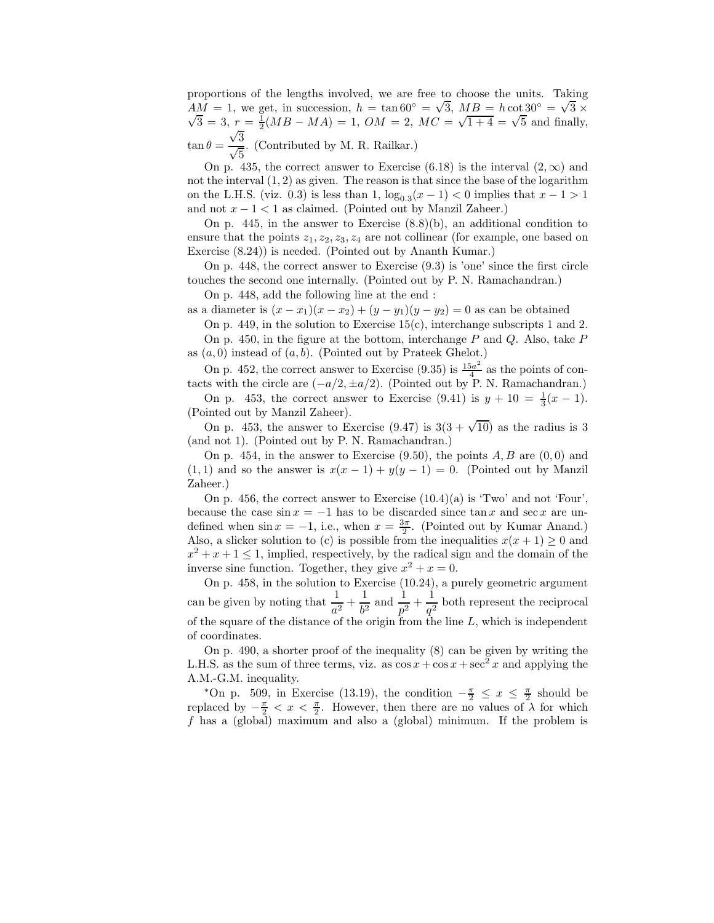proportions of the lengths involved, we are free to choose the units. Taking  $AM = 1$ , we get, in succession,  $h = \tan 60^\circ = \sqrt{3}$ ,  $MB = h \cot 30^\circ = \sqrt{3}$  $AM = 1$ , we get, in succession,  $h = \tan 60^\circ = \sqrt{3}$ ,  $MB = h \cot 30^\circ = \sqrt{3} \times \sqrt{3} = 3$ ,  $r = \frac{1}{MB} = MA = 1$ ,  $OM = 2$ ,  $MC = \sqrt{1+4} = \sqrt{5}$  and finally  $\overline{3} = 3$ ,  $r = \frac{1}{2}(MB - MA) = 1$ ,  $OM = 2$ ,  $MC = \sqrt{1+4} = \sqrt{5}$  and finally, √ 3

 $\tan \theta =$  $\frac{\sqrt{5}}{\sqrt{5}}$ . (Contributed by M. R. Railkar.)

On p. 435, the correct answer to Exercise (6.18) is the interval  $(2,\infty)$  and not the interval  $(1, 2)$  as given. The reason is that since the base of the logarithm on the L.H.S. (viz. 0.3) is less than 1,  $\log_{0.3}(x-1) < 0$  implies that  $x-1 > 1$ and not  $x - 1 < 1$  as claimed. (Pointed out by Manzil Zaheer.)

On p. 445, in the answer to Exercise  $(8.8)(b)$ , an additional condition to ensure that the points  $z_1, z_2, z_3, z_4$  are not collinear (for example, one based on Exercise (8.24)) is needed. (Pointed out by Ananth Kumar.)

On p. 448, the correct answer to Exercise (9.3) is 'one' since the first circle touches the second one internally. (Pointed out by P. N. Ramachandran.)

On p. 448, add the following line at the end :

as a diameter is  $(x - x_1)(x - x_2) + (y - y_1)(y - y_2) = 0$  as can be obtained

On p. 449, in the solution to Exercise  $15(c)$ , interchange subscripts 1 and 2. On p. 450, in the figure at the bottom, interchange  $P$  and  $Q$ . Also, take  $P$ as  $(a, 0)$  instead of  $(a, b)$ . (Pointed out by Prateek Ghelot.)

On p. 452, the correct answer to Exercise (9.35) is  $\frac{15a^2}{4}$  $\frac{a^2}{4}$  as the points of contacts with the circle are  $(-a/2, \pm a/2)$ . (Pointed out by P. N. Ramachandran.)

On p. 453, the correct answer to Exercise (9.41) is  $y + 10 = \frac{1}{3}(x - 1)$ . (Pointed out by Manzil Zaheer).

On p. 453, the answer to Exercise (9.47) is  $3(3 + \sqrt{10})$  as the radius is 3 (and not 1). (Pointed out by P. N. Ramachandran.)

On p. 454, in the answer to Exercise  $(9.50)$ , the points  $A, B$  are  $(0, 0)$  and  $(1, 1)$  and so the answer is  $x(x - 1) + y(y - 1) = 0$ . (Pointed out by Manzil Zaheer.)

On p. 456, the correct answer to Exercise  $(10.4)(a)$  is 'Two' and not 'Four', because the case  $\sin x = -1$  has to be discarded since  $\tan x$  and  $\sec x$  are undefined when  $\sin x = -1$ , i.e., when  $x = \frac{3\pi}{2}$ . (Pointed out by Kumar Anand.) Also, a slicker solution to (c) is possible from the inequalities  $x(x + 1) \geq 0$  and  $x^2 + x + 1 \leq 1$ , implied, respectively, by the radical sign and the domain of the inverse sine function. Together, they give  $x^2 + x = 0$ .

On p. 458, in the solution to Exercise (10.24), a purely geometric argument can be given by noting that  $\frac{1}{a^2} + \frac{1}{b^2}$  $\frac{1}{b^2}$  and  $\frac{1}{p^2} + \frac{1}{q^2}$  $\frac{1}{q^2}$  both represent the reciprocal of the square of the distance of the origin from the line  $L$ , which is independent of coordinates.

On p. 490, a shorter proof of the inequality (8) can be given by writing the L.H.S. as the sum of three terms, viz. as  $\cos x + \cos x + \sec^2 x$  and applying the A.M.-G.M. inequality.

\*On p. 509, in Exercise (13.19), the condition  $-\frac{\pi}{2} \leq x \leq \frac{\pi}{2}$  should be replaced by  $-\frac{\pi}{2} < x < \frac{\pi}{2}$ . However, then there are no values of  $\lambda$  for which f has a (global) maximum and also a (global) minimum. If the problem is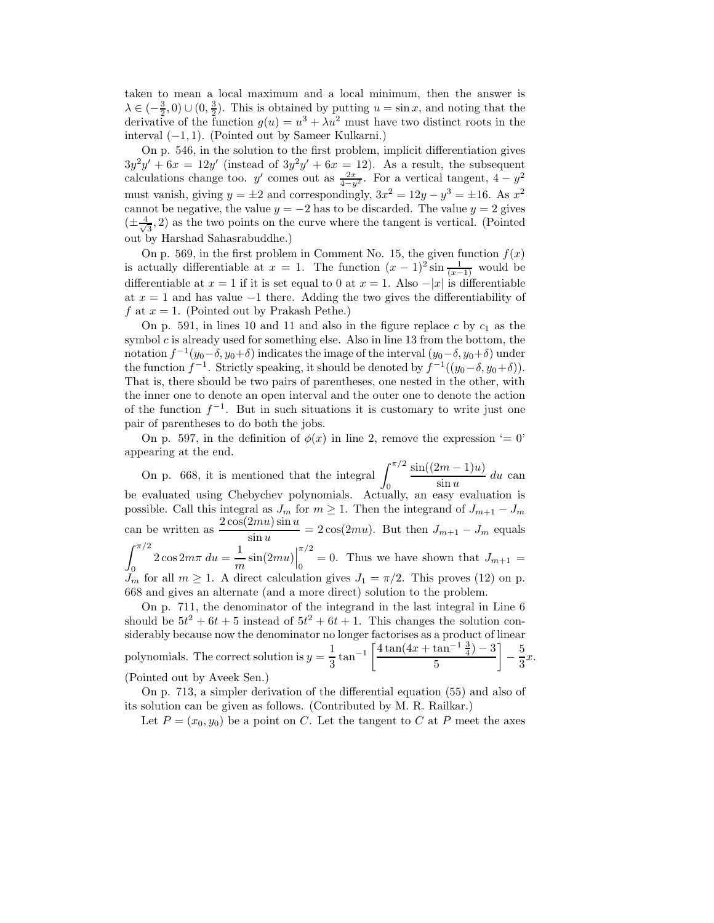taken to mean a local maximum and a local minimum, then the answer is  $\lambda \in \left(-\frac{3}{2},0\right) \cup \left(0,\frac{3}{2}\right)$ . This is obtained by putting  $u = \sin x$ , and noting that the derivative of the function  $g(u) = u^3 + \lambda u^2$  must have two distinct roots in the interval  $(-1, 1)$ . (Pointed out by Sameer Kulkarni.)

On p. 546, in the solution to the first problem, implicit differentiation gives  $3y^2y' + 6x = 12y'$  (instead of  $3y^2y' + 6x = 12$ ). As a result, the subsequent calculations change too. y' comes out as  $\frac{2x}{4-y^2}$ . For a vertical tangent,  $4-y^2$ . must vanish, giving  $y = \pm 2$  and correspondingly,  $3x^2 = 12y - y^3 = \pm 16$ . As  $x^2$ cannot be negative, the value  $y = -2$  has to be discarded. The value  $y = 2$  gives  $(\pm \frac{4}{\sqrt{2}}$  $\frac{1}{3}$ , 2) as the two points on the curve where the tangent is vertical. (Pointed out by Harshad Sahasrabuddhe.)

On p. 569, in the first problem in Comment No. 15, the given function  $f(x)$ is actually differentiable at  $x = 1$ . The function  $(x - 1)^2 \sin \frac{1}{(x-1)}$  would be differentiable at  $x = 1$  if it is set equal to 0 at  $x = 1$ . Also  $-|x|$  is differentiable at  $x = 1$  and has value  $-1$  there. Adding the two gives the differentiability of f at  $x = 1$ . (Pointed out by Prakash Pethe.)

On p. 591, in lines 10 and 11 and also in the figure replace  $c$  by  $c_1$  as the symbol  $c$  is already used for something else. Also in line 13 from the bottom, the notation  $f^{-1}(y_0-\delta, y_0+\delta)$  indicates the image of the interval  $(y_0-\delta, y_0+\delta)$  under the function  $f^{-1}$ . Strictly speaking, it should be denoted by  $f^{-1}((y_0-\delta, y_0+\delta))$ . That is, there should be two pairs of parentheses, one nested in the other, with the inner one to denote an open interval and the outer one to denote the action of the function  $f^{-1}$ . But in such situations it is customary to write just one pair of parentheses to do both the jobs.

On p. 597, in the definition of  $\phi(x)$  in line 2, remove the expression '= 0' appearing at the end.

On p. 668, it is mentioned that the integral  $\int_0^{\pi/2}$ 0  $sin((2m-1)u)$  $\frac{2m}{\sin u} du$  can be evaluated using Chebychev polynomials. Actually, an easy evaluation is possible. Call this integral as  $J_m$  for  $m \geq 1$ . Then the integrand of  $J_{m+1} - J_m$ can be written as  $\frac{2 \cos(2mu) \sin u}{\sin u} = 2 \cos(2mu)$ . But then  $J_{m+1} - J_m$  equals  $\int_0^{\pi/2}$ 0  $2\cos 2m\pi du = \frac{1}{2}$  $\frac{1}{m}\sin(2mu)\right|$  $\pi/2$  $\int_0^{\infty}$  = 0. Thus we have shown that  $J_{m+1}$  =  $J_m$  for all  $m \geq 1$ . A direct calculation gives  $J_1 = \pi/2$ . This proves (12) on p. 668 and gives an alternate (and a more direct) solution to the problem.

On p. 711, the denominator of the integrand in the last integral in Line 6 should be  $5t^2 + 6t + 5$  instead of  $5t^2 + 6t + 1$ . This changes the solution considerably because now the denominator no longer factorises as a product of linear polynomials. The correct solution is  $y = \frac{1}{2}$  $\frac{1}{3}$  tan<sup>-1</sup>  $\left[\frac{4\tan(4x + \tan^{-1}\frac{3}{4}) - 3}{5}\right]$ 5 1 − 5  $\frac{3}{3}x$ . (Pointed out by Aveek Sen.)

On p. 713, a simpler derivation of the differential equation (55) and also of its solution can be given as follows. (Contributed by M. R. Railkar.)

Let  $P = (x_0, y_0)$  be a point on C. Let the tangent to C at P meet the axes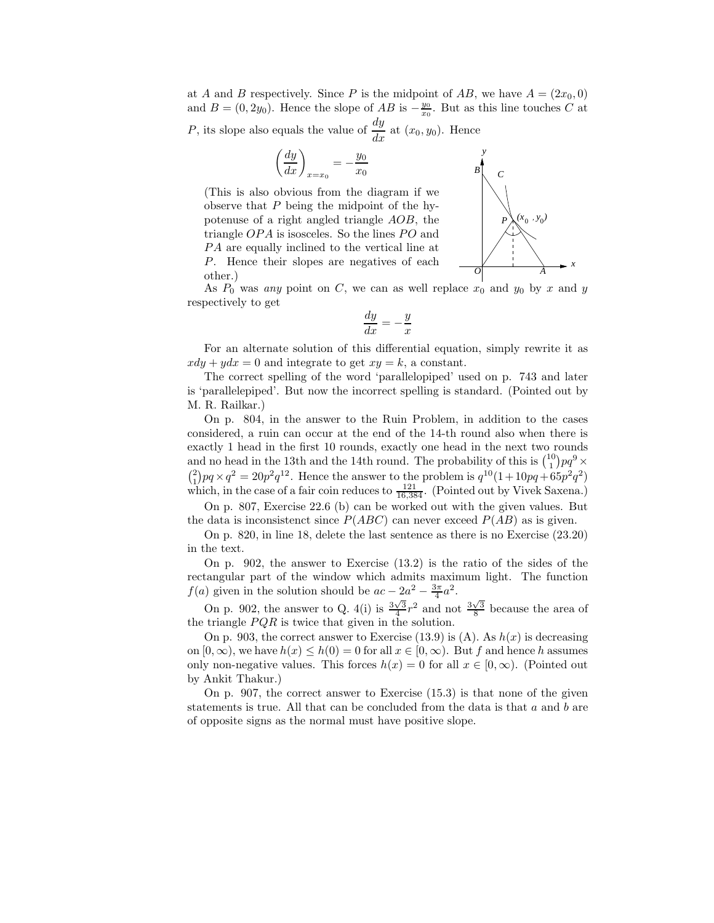at A and B respectively. Since P is the midpoint of AB, we have  $A = (2x_0, 0)$ and  $B = (0, 2y_0)$ . Hence the slope of AB is  $-\frac{y_0}{x_0}$ . But as this line touches C at

P, its slope also equals the value of  $\frac{dy}{dx}$  at  $(x_0, y_0)$ . Hence

$$
\left(\frac{dy}{dx}\right)_{x=x_0} = -\frac{y_0}{x_0}
$$

(This is also obvious from the diagram if we observe that  $P$  being the midpoint of the hypotenuse of a right angled triangle AOB, the triangle  $OPA$  is isosceles. So the lines  $PO$  and PA are equally inclined to the vertical line at P. Hence their slopes are negatives of each other.) *<sup>O</sup>*



As  $P_0$  was any point on C, we can as well replace  $x_0$  and  $y_0$  by x and y respectively to get

$$
\frac{dy}{dx} = -\frac{y}{x}
$$

For an alternate solution of this differential equation, simply rewrite it as  $xdy + ydx = 0$  and integrate to get  $xy = k$ , a constant.

The correct spelling of the word 'parallelopiped' used on p. 743 and later is 'parallelepiped'. But now the incorrect spelling is standard. (Pointed out by M. R. Railkar.)

On p. 804, in the answer to the Ruin Problem, in addition to the cases considered, a ruin can occur at the end of the 14-th round also when there is exactly 1 head in the first 10 rounds, exactly one head in the next two rounds and no head in the 13th and the 14th round. The probability of this is  $\binom{10}{1}pq^9 \times$  $\binom{1}{1}pq \times q^2 = 20p^2q^{12}$ . Hence the answer to the problem is  $q^{10}(1+10pq+65p^2q^2)$ which, in the case of a fair coin reduces to  $\frac{121}{16,384}$ . (Pointed out by Vivek Saxena.)

On p. 807, Exercise 22.6 (b) can be worked out with the given values. But the data is inconsistenct since  $P(ABC)$  can never exceed  $P(AB)$  as is given.

On p. 820, in line 18, delete the last sentence as there is no Exercise (23.20) in the text.

On p. 902, the answer to Exercise (13.2) is the ratio of the sides of the rectangular part of the window which admits maximum light. The function  $f(a)$  given in the solution should be  $ac - 2a^2 - \frac{3\pi}{4}a^2$ .

On p. 902, the answer to Q. 4(i) is  $\frac{3\sqrt{3}}{4}r^2$  and not  $\frac{3\sqrt{3}}{8}$  because the area of the triangle  $PQR$  is twice that given in the solution.

On p. 903, the correct answer to Exercise (13.9) is  $(A)$ . As  $h(x)$  is decreasing on  $[0, \infty)$ , we have  $h(x) \leq h(0) = 0$  for all  $x \in [0, \infty)$ . But f and hence h assumes only non-negative values. This forces  $h(x) = 0$  for all  $x \in [0, \infty)$ . (Pointed out by Ankit Thakur.)

On p. 907, the correct answer to Exercise (15.3) is that none of the given statements is true. All that can be concluded from the data is that  $a$  and  $b$  are of opposite signs as the normal must have positive slope.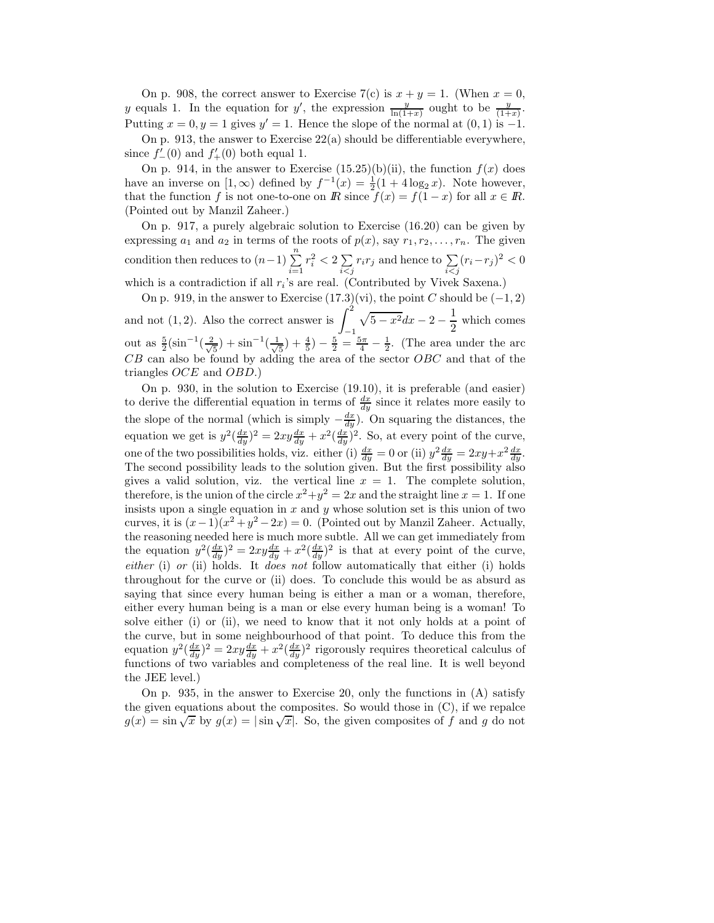On p. 908, the correct answer to Exercise 7(c) is  $x + y = 1$ . (When  $x = 0$ , y equals 1. In the equation for y', the expression  $\frac{y}{\ln(1+x)}$  ought to be  $\frac{y}{(1+x)}$ . Putting  $x = 0, y = 1$  gives  $y' = 1$ . Hence the slope of the normal at  $(0, 1)$  is  $-1$ .

On p. 913, the answer to Exercise 22(a) should be differentiable everywhere, since  $f'_{-}(0)$  and  $f'_{+}(0)$  both equal 1.

On p. 914, in the answer to Exercise  $(15.25)(b)(ii)$ , the function  $f(x)$  does have an inverse on  $[1, \infty)$  defined by  $f^{-1}(x) = \frac{1}{2}(1 + 4\log_2 x)$ . Note however, that the function f is not one-to-one on R since  $f(x) = f(1-x)$  for all  $x \in \mathbb{R}$ . (Pointed out by Manzil Zaheer.)

On p. 917, a purely algebraic solution to Exercise (16.20) can be given by expressing  $a_1$  and  $a_2$  in terms of the roots of  $p(x)$ , say  $r_1, r_2, \ldots, r_n$ . The given condition then reduces to  $(n-1)\sum_{i=1}^{n}$  $r_i^2 < 2 \sum$  $\sum_{i < j} r_i r_j$  and hence to  $\sum_{i < j} (r_i - r_j)^2 < 0$ which is a contradiction if all  $r_i$ 's are real. (Contributed by Vivek Saxena.)

On p. 919, in the answer to Exercise  $(17.3)(vi)$ , the point C should be  $(-1, 2)$ and not  $(1, 2)$ . Also the correct answer is  $\int_1^2$ −1  $\sqrt{5-x^2}dx-2-\frac{1}{2}$  $\frac{1}{2}$  which comes out as  $\frac{5}{2}(\sin^{-1}(\frac{2}{\sqrt{2}}))$  $(\frac{1}{5}) + \sin^{-1}(\frac{1}{\sqrt{2}})$  $(\frac{1}{5}) + \frac{4}{5}) - \frac{5}{2} = \frac{5\pi}{4} - \frac{1}{2}$ . (The area under the arc  $CB$  can also be found by adding the area of the sector  $OBC$  and that of the triangles OCE and OBD.)

On p. 930, in the solution to Exercise (19.10), it is preferable (and easier) to derive the differential equation in terms of  $\frac{dx}{dy}$  since it relates more easily to the slope of the normal (which is simply  $-\frac{dx}{dy}$ ). On squaring the distances, the equation we get is  $y^2(\frac{dx}{dy})^2 = 2xy\frac{dx}{dy} + x^2(\frac{dx}{dy})^2$ . So, at every point of the curve, one of the two possibilities holds, viz. either (i)  $\frac{dx}{dy} = 0$  or (ii)  $y^2 \frac{dx}{dy} = 2xy + x^2 \frac{dx}{dy}$ . The second possibility leads to the solution given. But the first possibility also gives a valid solution, viz. the vertical line  $x = 1$ . The complete solution, therefore, is the union of the circle  $x^2 + y^2 = 2x$  and the straight line  $x = 1$ . If one insists upon a single equation in  $x$  and  $y$  whose solution set is this union of two curves, it is  $(x-1)(x^2+y^2-2x) = 0$ . (Pointed out by Manzil Zaheer. Actually, the reasoning needed here is much more subtle. All we can get immediately from the equation  $y^2(\frac{dx}{dy})^2 = 2xy\frac{dx}{dy} + x^2(\frac{dx}{dy})^2$  is that at every point of the curve,  $either (i)$  or (ii) holds. It *does not* follow automatically that either (i) holds throughout for the curve or (ii) does. To conclude this would be as absurd as saying that since every human being is either a man or a woman, therefore, either every human being is a man or else every human being is a woman! To solve either (i) or (ii), we need to know that it not only holds at a point of the curve, but in some neighbourhood of that point. To deduce this from the equation  $y^2(\frac{dx}{dy})^2 = 2xy\frac{dx}{dy} + x^2(\frac{dx}{dy})^2$  rigorously requires theoretical calculus of functions of two variables and completeness of the real line. It is well beyond the JEE level.)

On p. 935, in the answer to Exercise 20, only the functions in (A) satisfy the given equations about the composites. So would those in (C), if we repalce  $g(x) = \sin \sqrt{x}$  by  $g(x) = |\sin \sqrt{x}|$ . So, the given composites of f and g do not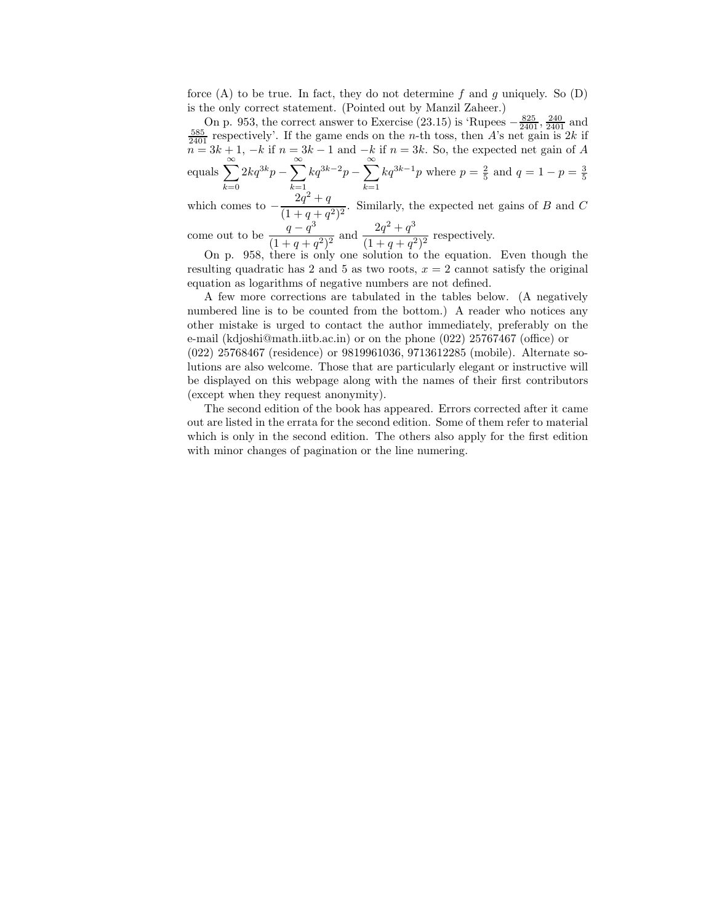force  $(A)$  to be true. In fact, they do not determine f and g uniquely. So  $(D)$ is the only correct statement. (Pointed out by Manzil Zaheer.)

On p. 953, the correct answer to Exercise (23.15) is 'Rupees  $-\frac{825}{2401}$ ,  $\frac{240}{2401}$  and  $\frac{585}{2401}$  respectively'. If the game ends on the *n*-th toss, then *A*'s net gain is 2*k* if  $n = 3k + 1, -k$  if  $n = 3k - 1$  and  $-k$  if  $n = 3k$ . So, the expected net gain of A equals  $\sum_{n=1}^{\infty}$  $_{k=0}$  $2kq^{3k}p-\sum^{\infty}$  $k=1$  $kq^{3k-2}p-\sum^{\infty}$  $k=1$  $kq^{3k-1}p$  where  $p = \frac{2}{5}$  and  $q = 1 - p = \frac{3}{5}$ 

which comes to  $-\frac{2q^2+q}{(1+a+q)}$  $\frac{2q+q}{(1+q+q^2)^2}$ . Similarly, the expected net gains of B and C

come out to be  $\frac{q-q^3}{(1-q)^3}$  $\frac{q-q^3}{(1+q+q^2)^2}$  and  $\frac{2q^2+q^3}{(1+q+q^2)}$  $\frac{2q+q}{(1+q+q^2)^2}$  respectively.

On p. 958, there is only one solution to the equation. Even though the resulting quadratic has 2 and 5 as two roots,  $x = 2$  cannot satisfy the original equation as logarithms of negative numbers are not defined.

A few more corrections are tabulated in the tables below. (A negatively numbered line is to be counted from the bottom.) A reader who notices any other mistake is urged to contact the author immediately, preferably on the e-mail (kdjoshi@math.iitb.ac.in) or on the phone (022) 25767467 (office) or (022) 25768467 (residence) or 9819961036, 9713612285 (mobile). Alternate solutions are also welcome. Those that are particularly elegant or instructive will be displayed on this webpage along with the names of their first contributors (except when they request anonymity).

The second edition of the book has appeared. Errors corrected after it came out are listed in the errata for the second edition. Some of them refer to material which is only in the second edition. The others also apply for the first edition with minor changes of pagination or the line numering.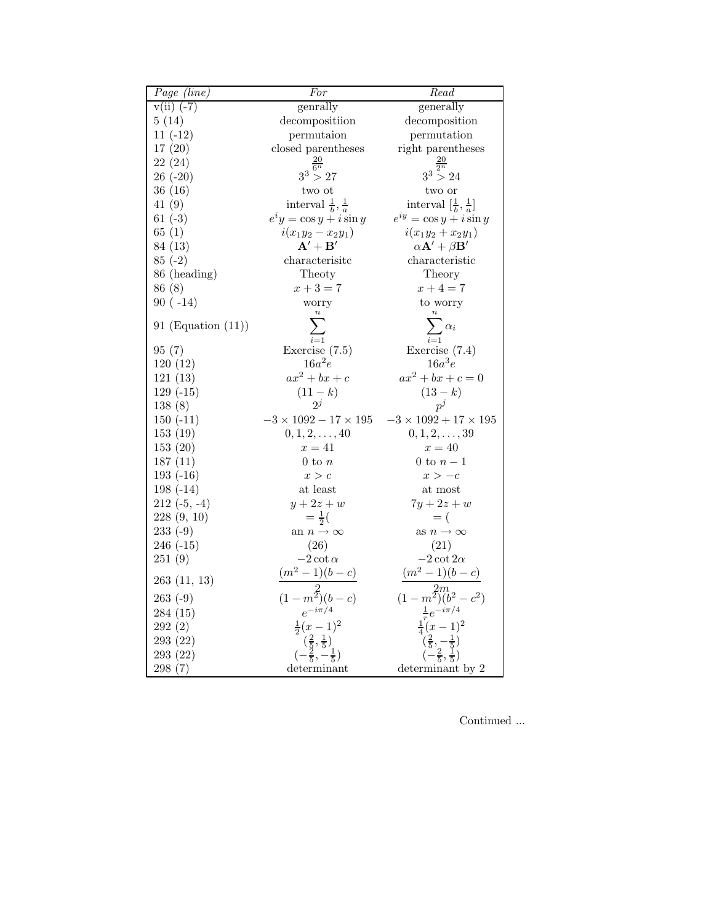| Page (line)           | For                                                                   | Read                                                     |
|-----------------------|-----------------------------------------------------------------------|----------------------------------------------------------|
| $v(ii)$ (-7)          | genrally                                                              | generally                                                |
| 5(14)                 | decompositiion                                                        | decomposition                                            |
| $11(-12)$             | permutaion                                                            | permutation                                              |
| 17(20)                | closed parentheses                                                    | right parentheses                                        |
| 22(24)                |                                                                       |                                                          |
| $26(-20)$             | $3^3 > 27$                                                            | $3^3 > 24$                                               |
| 36(16)                | two ot                                                                | two or                                                   |
| 41(9)                 | interval $\frac{1}{b}$ , $\frac{1}{a}$                                | interval $\left[\frac{1}{b}, \frac{1}{a}\right]$         |
| $61(-3)$              | $e^i y = \cos y + i \sin y$                                           | $e^{iy} = \cos y + i \sin y$                             |
| 65(1)                 | $i(x_1y_2 - x_2y_1)$                                                  | $i(x_1y_2+x_2y_1)$                                       |
| 84 (13)               | $\mathbf{A}'+\mathbf{B}'$                                             | $\alpha \mathbf{A}^{\prime }+\beta \mathbf{B}^{\prime }$ |
| $85(-2)$              | characterisitc                                                        | characteristic                                           |
| 86 (heading)          | Theoty                                                                | Theory                                                   |
| 86 (8)                | $x+3=7$                                                               | $x + 4 = 7$                                              |
| $90(-14)$             | worry                                                                 | to worry                                                 |
|                       |                                                                       |                                                          |
| 91 (Equation $(11)$ ) |                                                                       |                                                          |
| 95(7)                 | Exercise $(7.5)$                                                      | Exercise $(7.4)$                                         |
| 120(12)               | $16a^2e$                                                              | $16a^3e$                                                 |
| 121(13)               | $ax^2 + bx + c$                                                       | $ax^2 + bx + c = 0$                                      |
| $129(-15)$            | $(11 - k)$                                                            | $(13 - k)$                                               |
| 138(8)                | $2^{j}$                                                               | $p^j$                                                    |
| $150(-11)$            | $-3 \times 1092 - 17 \times 195 \quad -3 \times 1092 + 17 \times 195$ |                                                          |
| 153(19)               | $0, 1, 2, \ldots, 40$                                                 | $0, 1, 2, \ldots, 39$                                    |
| 153(20)               | $x=41$                                                                | $x=40$                                                   |
| 187(11)               | $0$ to $n$                                                            | 0 to $n-1$                                               |
| $193(-16)$            | x > c                                                                 | $x > -c$                                                 |
| $198(-14)$            | $\,$ at least                                                         | at most                                                  |
| $212(-5, -4)$         | $y+2z+w$                                                              | $7y+2z+w$                                                |
| 228(9, 10)            | $=\frac{1}{2}$ (                                                      | $=$ (                                                    |
| $233(-9)$             | an $n \to \infty$                                                     | as $n\to\infty$                                          |
| $246(-15)$            | (26)                                                                  | (21)                                                     |
| 251(9)                | $-2\cot\alpha$                                                        | $-2 \cot 2\alpha$                                        |
| 263(11, 13)           | $(m^2-1)(b-c)$                                                        | $(m^2-1)(b-c)$                                           |
| $263(-9)$             |                                                                       | $(1-m^2)$ $(b^2)$                                        |
| 284(15)               | $(1 - m^2)(b - c)$<br>$e^{-i\pi/4}$                                   | $e^{-i\pi/4}$                                            |
| 292 (2)               | $\frac{1}{2}(x-1)^2$                                                  | $(x-1)^2$                                                |
| 293(22)               |                                                                       |                                                          |
| 293 (22)              |                                                                       |                                                          |
| 298(7)                | determinant                                                           | determinant by 2                                         |

Continued ...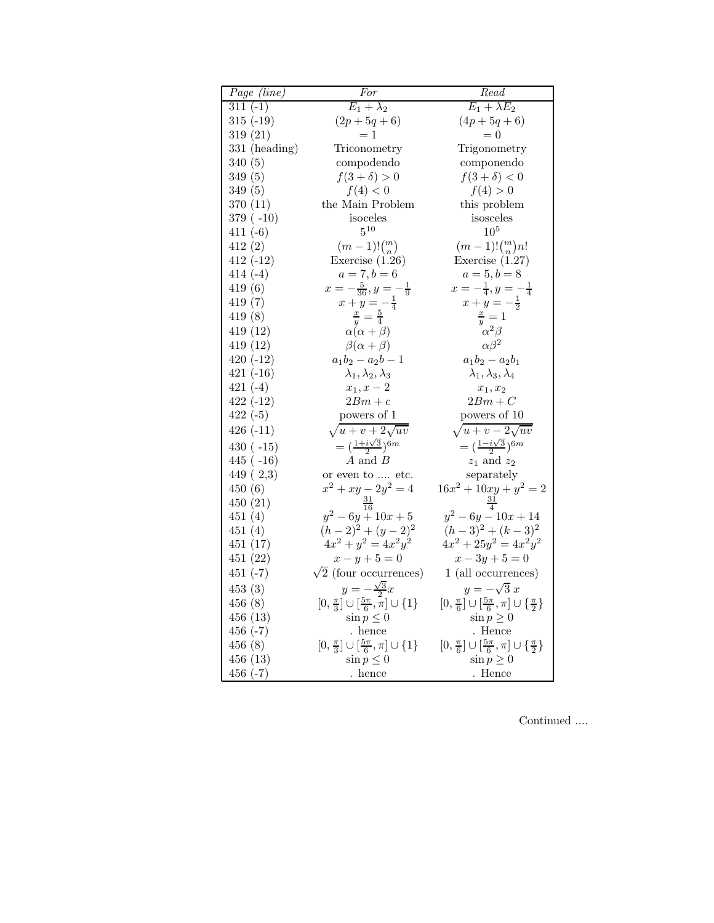| Page (line)     | For                                                        | Read                                                                                   |
|-----------------|------------------------------------------------------------|----------------------------------------------------------------------------------------|
| $311(-1)$       | $\overline{E_1 + \lambda_2}$                               | $E_1 + \lambda E_2$                                                                    |
| $315(-19)$      | $(2p + 5q + 6)$                                            | $(4p + 5q + 6)$                                                                        |
| 319(21)         | $=1$                                                       | $= 0$                                                                                  |
| $331$ (heading) | Triconometry                                               | Trigonometry                                                                           |
| 340(5)          | compodendo                                                 | componendo                                                                             |
| 349(5)          | $f(3+\delta)>0$                                            | $f(3+\delta)<0$                                                                        |
| 349(5)          | f(4) < 0                                                   | f(4) > 0                                                                               |
| 370(11)         | the Main Problem                                           | this problem                                                                           |
| $379(-10)$      | isoceles                                                   | isosceles                                                                              |
| $411(-6)$       | $5^{10}$                                                   | 10 <sup>5</sup>                                                                        |
| 412(2)          | $(m-1)!\binom{m}{n}$                                       | $(m-1)!\binom{m}{n}n!$                                                                 |
| $412(-12)$      | Exercise $(1.26)$                                          | Exercise $(1.27)$                                                                      |
| $414(-4)$       | $a = 7, b = 6$                                             | $a = 5, b = 8$                                                                         |
| 419(6)          | $x=-\frac{5}{36}, y=-\frac{1}{9}$                          | $x=-\frac{1}{4}, y=-\frac{1}{4}$                                                       |
| 419(7)          | $x + y = -\frac{1}{4}$                                     | $x + y = -\frac{1}{2}$                                                                 |
| 419 (8)         | $\frac{x}{y} = \frac{5}{4}$                                | $\frac{x}{y} = 1$                                                                      |
| 419(12)         | $\alpha(\alpha+\beta)$                                     | $\alpha^2\beta$                                                                        |
| 419(12)         | $\beta(\alpha+\beta)$                                      | $\alpha\beta^2$                                                                        |
| $420(-12)$      | $a_1b_2 - a_2b - 1$                                        | $a_1b_2 - a_2b_1$                                                                      |
| $421(-16)$      | $\lambda_1, \lambda_2, \lambda_3$                          | $\lambda_1, \lambda_3, \lambda_4$                                                      |
| $421(-4)$       | $x_1, x - 2$                                               | $\boldsymbol{x}_1,\boldsymbol{x}_2$                                                    |
| $422(-12)$      | $2Bm + c$                                                  | $2Bm + C$                                                                              |
| $422(-5)$       | powers of 1                                                | powers of 10                                                                           |
| $426(-11)$      | $\sqrt{u+v} + 2\sqrt{uv}$                                  | $\sqrt{u+v-2\sqrt{uv}}$                                                                |
| $430 (-15)$     | $=(\frac{1+i\sqrt{3}}{2})^{6m}$                            | $=\left(\frac{1-i\sqrt{3}}{2}\right)^{6m}$                                             |
| $445 (-16)$     | $A$ and $B$                                                | $z_1$ and $z_2$                                                                        |
| 449(2,3)        | or even to  etc.                                           | separately                                                                             |
| 450(6)          | $x^2 + xy - 2y^2 = 4$                                      | $16x^2 + 10xy + y^2 = 2$                                                               |
| 450(21)         |                                                            |                                                                                        |
| 451(4)          | $y^2-6y+10x+5$                                             | $y^2-6y-10x+14$                                                                        |
| 451(4)          | $(h-2)^2 + (y-2)^2$                                        | $(h-3)^2 + (k-3)^2$                                                                    |
| 451(17)         | $4x^2 + y^2 = 4x^2y^2$                                     | $4x^2 + 25y^2 = 4x^2y^2$                                                               |
| 451 (22)        | $x - y + 5 = 0$                                            | $x - 3y + 5 = 0$                                                                       |
| $451(-7)$       | $\sqrt{2}$ (four occurrences)                              | $1\ \mathrm{(all}\ \mathrm{occurrences})$                                              |
| 453(3)          | $y=-\frac{\sqrt{3}}{2}x$                                   | $y=-\sqrt{3}x$                                                                         |
| 456 (8)         | $[0, \frac{\pi}{3}] \cup [\frac{5\pi}{6}, \pi] \cup \{1\}$ | $[0,\frac{\pi}{6}]\cup\left[\frac{5\pi}{6},\pi\right]\cup\left\{\frac{\pi}{2}\right\}$ |
| 456(13)         | $\sin p \leq 0$                                            | $\sin p \geq 0$                                                                        |
| $456(-7)$       | . hence                                                    | . Hence                                                                                |
| 456(8)          | $[0, \frac{\pi}{3}] \cup [\frac{5\pi}{6}, \pi] \cup \{1\}$ | $[0,\frac{\pi}{6}]\cup\left[\frac{5\pi}{6},\pi\right]\cup\left\{\frac{\pi}{2}\right\}$ |
| 456(13)         | $\sin p \leq 0$                                            | $\sin p \geq 0$                                                                        |
| $456(-7)$       | hence .                                                    | . Hence                                                                                |

Continued ....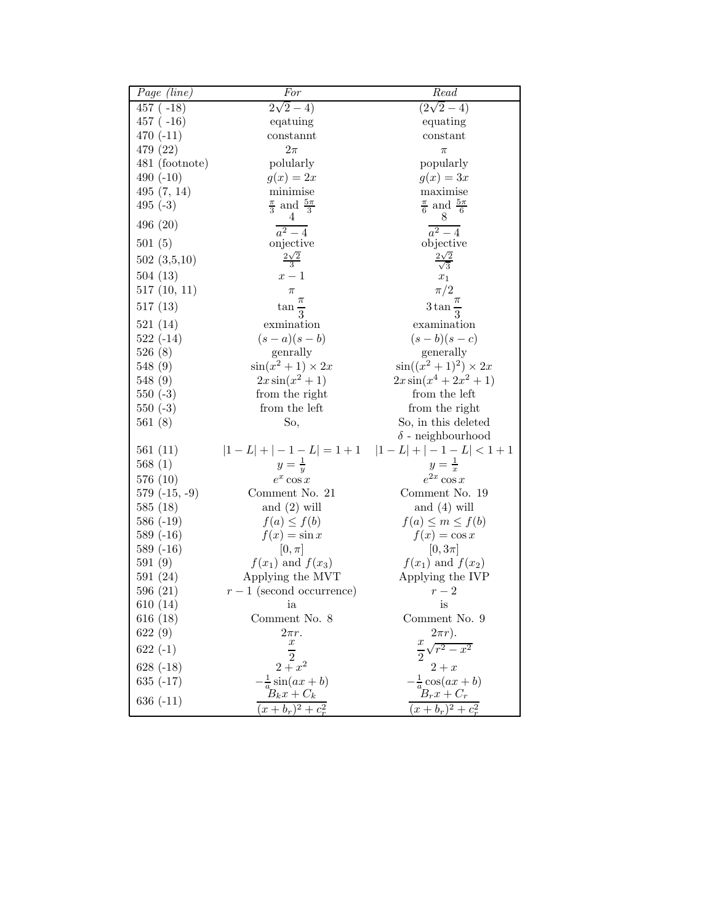| $Page$ (line)       | For                                  | $\overline{Read}$                     |
|---------------------|--------------------------------------|---------------------------------------|
| $457 (-18)$         | $2\sqrt{2}-4)$                       | $(2\sqrt{2}-4)$                       |
| $457 (-16)$         | eqatuing                             | equating                              |
| $470(-11)$          | constannt                            | constant                              |
| 479 (22)            | $2\pi$                               | $\pi$                                 |
| 481 (footnote)      | polularly                            | popularly                             |
| 490 $(-10)$         | $g(x)=2x$                            | $g(x)=3x$                             |
| 495(7, 14)          | minimise                             | maximise                              |
| $495(-3)$           | $\frac{\pi}{3}$ and $\frac{5\pi}{3}$ | $\frac{\pi}{6}$ and $\frac{5\pi}{6}$  |
| 496(20)             | 4<br>$a^2-\overline{4}$              | 8<br>$a^2-4$                          |
| 501(5)              | onjective                            | objective                             |
| 502(3,5,10)         | $\frac{2\sqrt{2}}{3}$                | $\frac{2\sqrt{2}}{\sqrt{3}}$          |
| 504(13)             | $x-1$                                | $x_1$                                 |
| 517(10, 11)         | $\pi$                                | $\pi/2$                               |
|                     | $\pi$                                |                                       |
| 517(13)             | $\tan \frac{1}{3}$                   | $3\tan \frac{1}{3}$                   |
| 521(14)             | exmination                           | examination                           |
| $522(-14)$          | $(s-a)(s-b)$                         | $(s-b)(s-c)$                          |
| 526(8)              | genrally                             | generally                             |
| 548 (9)             | $\sin(x^2+1) \times 2x$              | $\sin((x^2+1)^2) \times 2x$           |
| 548(9)              | $2x\sin(x^2+1)$                      | $2x\sin(x^4+2x^2+1)$<br>from the left |
| $550(-3)$           | from the right<br>from the left      | from the right                        |
| $550(-3)$<br>561(8) | So,                                  | So, in this deleted                   |
|                     |                                      | $\delta$ - neighbourhood              |
| 561(11)             |                                      | $ 1-L + -1-L =1+1$ $ 1-L + -1-L <1+1$ |
| 568(1)              | $y=\frac{1}{y}$                      | $y=\frac{1}{x}$                       |
| 576(10)             | $e^x \cos x$                         | $e^{2x}\cos x$                        |
| $579(-15,-9)$       | Comment No. 21                       | Comment No. 19                        |
| 585(18)             | and $(2)$ will                       | and $(4)$ will                        |
| $586(-19)$          | $f(a) \leq f(b)$                     | $f(a) \leq m \leq f(b)$               |
| $589(-16)$          | $f(x) = \sin x$                      | $f(x) = \cos x$                       |
| $589(-16)$          | $[0, \pi]$                           | $[0,3\pi]$                            |
| 591(9)              | $f(x_1)$ and $f(x_3)$                | $f(x_1)$ and $f(x_2)$                 |
| 591(24)             | Applying the MVT                     | Applying the IVP                      |
| 596(21)             | $r-1$ (second occurrence)            | $r-2$                                 |
| 610(14)             | ia                                   | is                                    |
| 616(18)             | Comment No. 8                        | Comment No. 9                         |
| 622(9)              | $2\pi r$ .                           | $2\pi r$ ).                           |
| $622(-1)$           | $\, x \,$                            | $\frac{x}{2}\sqrt{r^2-x^2}$           |
| $628(-18)$          | $\sqrt{\frac{2}{x}}x^2$              | $2 + x$                               |
| 635 $(-17)$         | $rac{1}{a}$ sin(ax + b)              | $\frac{1}{a}\cos(ax+b)$               |
| 636 $(-11)$         | $B_kx + C_k$                         | $B_rx+C_r$                            |
|                     | $(x + b_r)^2 + c_r^2$                | $(x + b_r)^2 + c_r^2$                 |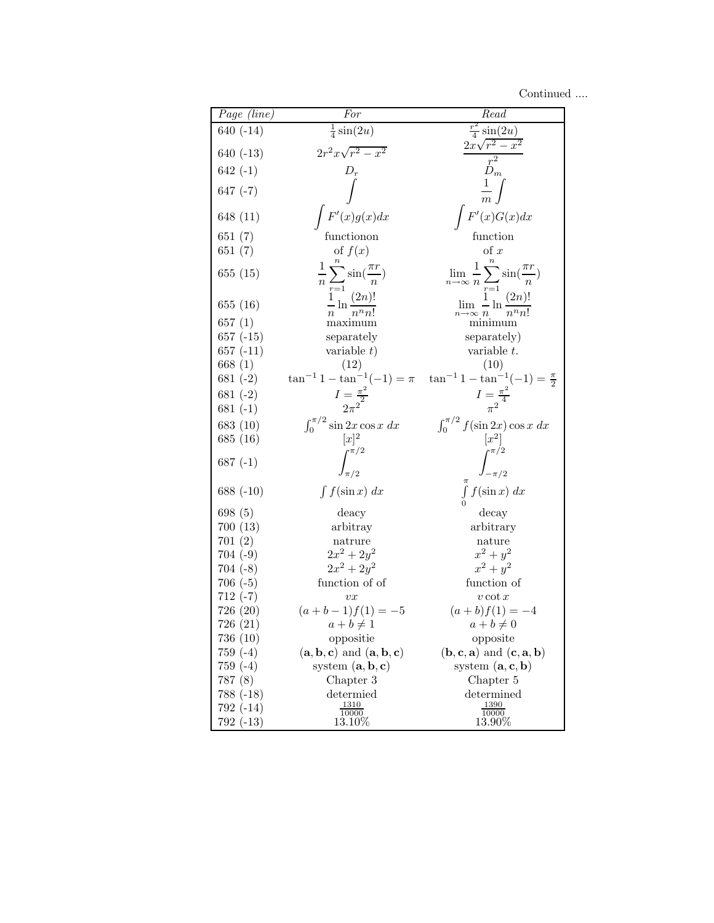Continued ....

| Page (line)           | For                                                                                            | Read                                                                                          |
|-----------------------|------------------------------------------------------------------------------------------------|-----------------------------------------------------------------------------------------------|
| $640(-14)$            | $rac{1}{4}$ sin $(2u)$                                                                         | $\frac{r^2}{4}\sin(2u)$                                                                       |
| $640(-13)$            | $2r^2x\sqrt{r^2-x^2}$                                                                          | $\frac{2x\sqrt{r^2-x^2}}{r^2}$                                                                |
|                       |                                                                                                | $\dot{D}_m$                                                                                   |
| $642(-1)$             | $D_r$                                                                                          |                                                                                               |
| $647(-7)$             |                                                                                                | $\frac{1}{m}$                                                                                 |
| 648 (11)              | F'(x)g(x)dx                                                                                    | F'(x)G(x)dx                                                                                   |
| 651(7)                | functionon                                                                                     | function                                                                                      |
| 651(7)                | of $f(x)$                                                                                      | $\alpha$                                                                                      |
| 655(15)               | $\frac{1}{n}\sum_{r=1}^{n}\sin(\frac{\pi r}{n})$ $\frac{1}{n}\ln\frac{(2n)!}{n^{n}n!}$         | $\lim_{n\to\infty}\frac{1}{n}\sum_{r=1}^n\sin(\frac{\pi r}{n})$                               |
| 655(16)               |                                                                                                | $\lim_{n\to\infty}\frac{1}{n}\ln\frac{(2n)!}{n^nn!}$                                          |
| 657(1)                | maxımum                                                                                        | mınımum                                                                                       |
| $657(-15)$            | separately                                                                                     | separately)                                                                                   |
| $657(-11)$            | variable $t$ )                                                                                 | variable t.                                                                                   |
| 668(1)                | (12)                                                                                           | (10)                                                                                          |
| $681(-2)$             | $\tan^{-1} 1 - \tan^{-1}(-1) = \pi$                                                            | $\tan^{-1} 1 - \tan^{-1}(-1) = \frac{\pi}{2}$                                                 |
| $681(-2)$             | $I = \frac{\pi^2}{2\pi^2}$                                                                     | $I=\frac{\pi^2}{\pi^2}$                                                                       |
| $681(-1)$             |                                                                                                |                                                                                               |
| 683 (10)              | $\int_0^{\pi/2} \sin 2x \cos x \ dx$                                                           | $\int_0^{\pi/2} f(\sin 2x) \cos x \ dx$                                                       |
| 685 (16)              | $[x]^2$                                                                                        | $[x^2]$                                                                                       |
| $687(-1)$             | $\int_0^{\pi/2}$                                                                               |                                                                                               |
|                       |                                                                                                |                                                                                               |
| 688 (-10)             | $\int f(\sin x) dx$                                                                            | $\int_{-\pi/2}^{\pi/2}$ $\int_{0}^{\pi} f(\sin x) dx$                                         |
| 698 (5)               | deacy                                                                                          | decay                                                                                         |
| 700(13)               | arbitray                                                                                       | arbitrary                                                                                     |
| 701(2)                | natrure                                                                                        | nature                                                                                        |
| $704(-9)$             | $2x^2 + 2y^2$                                                                                  | $x^2 + y^2$                                                                                   |
| $704(-8)$             | $2x^2 + 2y^2$                                                                                  | $x^2 + y^2$                                                                                   |
| $706(-5)$             | function of of                                                                                 | function of                                                                                   |
| $712(-7)$             | vx                                                                                             | $v \cot x$                                                                                    |
| 726(20)               | $(a + b - 1) f(1) = -5$                                                                        | $(a + b)f(1) = -4$                                                                            |
| 726 (21)              | $a+b\neq 1$                                                                                    | $a+b\neq 0$                                                                                   |
| 736 (10)<br>$759(-4)$ | oppositie<br>$(\mathbf{a}, \mathbf{b}, \mathbf{c})$ and $(\mathbf{a}, \mathbf{b}, \mathbf{c})$ | opposite<br>$(\mathbf{b}, \mathbf{c}, \mathbf{a})$ and $(\mathbf{c}, \mathbf{a}, \mathbf{b})$ |
| 759 (-4)              | system $(\mathbf{a}, \mathbf{b}, \mathbf{c})$                                                  | system $(\mathbf{a}, \mathbf{c}, \mathbf{b})$                                                 |
| 787 (8)               | Chapter 3                                                                                      | Chapter 5                                                                                     |
| 788 (-18)             | determied                                                                                      | determined                                                                                    |
| 792 (-14)             | $\frac{1310}{10000}$                                                                           | 1390                                                                                          |
| 792 (-13)             | $13.10\%$                                                                                      | 10000<br>13.90%                                                                               |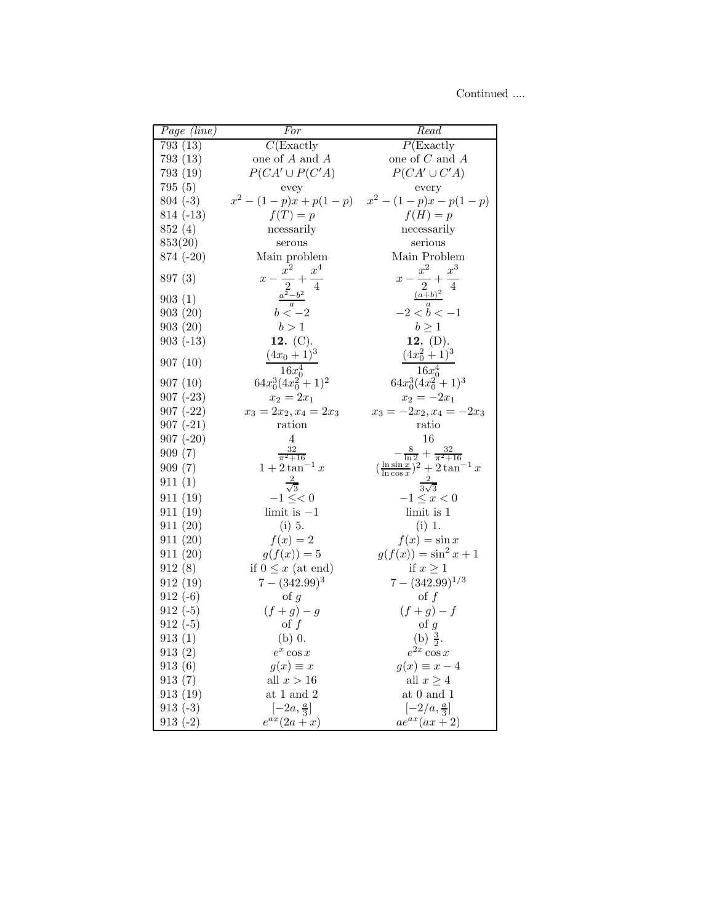Continued ....

| Page (line)              | For                                              | Read                                                          |
|--------------------------|--------------------------------------------------|---------------------------------------------------------------|
| 793(13)                  | $C($ Exactly                                     | $P( \text{Exactly}$                                           |
| 793(13)                  | one of ${\cal A}$ and ${\cal A}$                 | one of $\cal C$ and $\cal A$                                  |
| 793 (19)                 | $P(CA' \cup P(C'A))$                             | $P(CA' \cup C'A)$                                             |
| 795 (5)                  | evey                                             | every                                                         |
| $804(-3)$                |                                                  | $x^2 - (1-p)x + p(1-p)$ $x^2 - (1-p)x - p(1-p)$               |
| $814(-13)$               | $f(T) = p$                                       | $f(\mathcal{H})=p$                                            |
| 852 (4)                  | ncessarily                                       | necessarily                                                   |
| 853(20)                  | serous                                           | serious                                                       |
| $874(-20)$               | Main problem                                     | Main Problem                                                  |
| 897(3)                   | $x^2$<br>$x^4$<br>$x -$<br>$+$<br>$\overline{2}$ | $x^2$<br>$x^3$<br>$x-\frac{1}{2}$                             |
| 903(1)                   | $a^2-b^2$                                        | $(a+b)^2$                                                     |
| 903(20)                  | $\boldsymbol{a}$<br>$b < -2$                     | $\boldsymbol{a}$<br>$-2 < b < -1$                             |
| 903(20)                  | b > 1                                            | $b\geq 1$                                                     |
| $903(-13)$               | 12. $(C)$ .                                      | 12. $(D)$ .                                                   |
| 907(10)                  | $(4x_0+1)^3$                                     | $(4x_0^2+1)^3$                                                |
|                          | $16x_0^4$                                        | $16x_0^4$                                                     |
| 907(10)                  | $64x_0^3(4x_0^2+1)^2$<br>$x_2 = 2x_1$            | $64x_0^3(4x_0^2+1)^3$<br>$x_2 = -2x_1$                        |
| $907(-23)$<br>$907(-22)$ | $x_3 = 2x_2, x_4 = 2x_3$                         | $x_3 = -2x_2, x_4 = -2x_3$                                    |
| $907(-21)$               | ration                                           | ratio                                                         |
| $907(-20)$               | 4                                                | 16                                                            |
| 909(7)                   | $\frac{32}{\pi^2+16}$                            | $-\frac{8}{\ln 2}+\frac{32}{\pi^2+16}$                        |
| 909(7)                   | $1+2\tan^{-1} x$                                 | $\left(\frac{\ln \sin x}{\ln \cos x}\right)^2 + 2\tan^{-1} x$ |
| 911(1)                   |                                                  |                                                               |
| 911(19)                  | $\sqrt{3}$<br>$-1 \leq < 0$                      | $3\sqrt{3}$<br>$-1 \leq x < 0$                                |
| 911(19)                  | $limit$ is $-1$                                  | limit is 1                                                    |
| 911(20)                  | $(i)$ 5.                                         | $(i)$ 1.                                                      |
| 911(20)                  | $f(x)=2$                                         | $f(x) = \sin x$                                               |
| 911(20)                  | $g(f(x)) = 5$                                    | $g(f(x)) = \sin^2 x + 1$                                      |
| 912(8)                   | if $0 \leq x$ (at end)                           | if $x \geq 1$                                                 |
| 912(19)                  | $7-(342.99)^3$                                   | $7-(342.99)^{1/3}$                                            |
| $912(-6)$                | of $\boldsymbol{g}$                              | $\circ$ f $f$                                                 |
| $912(-5)$                | $(f+g)-g$                                        | $(f+g)-f$                                                     |
| $912(-5)$                | $\mathrm{of}\; f$                                | $\circ$ f g                                                   |
| 913(1)                   | $(b)$ 0.                                         | (b) $\frac{3}{2}$ .                                           |
| 913(2)                   | $e^x \cos x$                                     | $e^{2x}\cos x$                                                |
| 913(6)                   | $g(x) \equiv x$                                  | $g(x) \equiv x-4$                                             |
| 913(7)                   | all $x>16$                                       | all $x \geq 4$                                                |
| 913 (19)                 | at 1 and $2$                                     | at $0$ and $1$                                                |
| $913(-3)$                | $[-2a,\frac{a}{3}]$                              | $\left[-2/a,\frac{a}{3}\right]$                               |
| $913(-2)$                | $e^{ax}(2a+x)$                                   | $ae^{ax}(ax+2)$                                               |